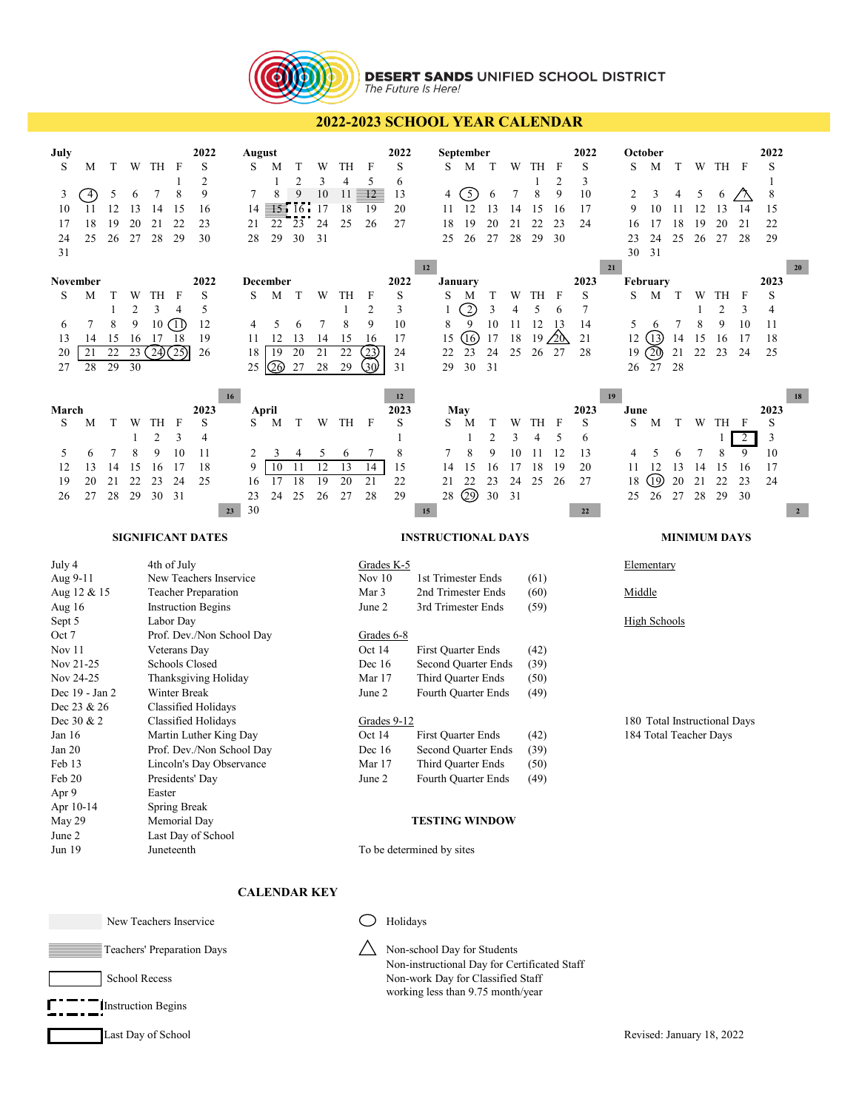

## **DESERT SANDS UNIFIED SCHOOL DISTRICT**<br>The Future Is Here!

## **2022-2023 SCHOOL YEAR CALENDAR**

| July<br>S<br>T<br>W<br>M<br>5<br>3<br>$\left(4\right)$<br>6<br>12<br>10<br>11<br>13<br>18<br>19<br>20<br>17<br>25<br>24<br>26<br>27<br>31                                                                                                                                                                                                      | TH<br>- F<br>8<br>7<br>14<br>15<br>22<br>21<br>28<br>29                 | 2022<br>S<br>$\overline{2}$<br>9<br>16<br>23<br>30        | August<br>S<br>M<br>1<br>8<br>7<br>$\equiv 5.16$<br>14<br>22<br>21<br>28<br>29 | T<br>W<br>2<br>3<br>9<br>10<br>17<br>24<br>23<br>30<br>31 | TH<br>4<br>11<br>18<br>25                                                                                                                             | F<br>5<br>$12 -$<br>19<br>26                                                                                                                                                                                                                                                                                   | 2022<br>S<br>6<br>13<br>20<br>27            |        | September<br>S<br>4<br>11<br>18<br>25 | M<br>3<br>-12<br>19<br>26                                                                                                             | T<br>6<br>13<br>20<br>27                   | W<br>7<br>14<br>21<br>28       | TH<br>1<br>8<br>15<br>22<br>29              | F<br>2<br>9<br>16<br>23<br>30                          | 2022<br>S<br>3<br>10<br>17<br>24       |    | October<br>S<br>2<br>9<br>16<br>23<br>30 | M<br>3<br>10<br>17<br>24<br>31 | T<br>4<br>11<br>18<br>25 | W<br>5<br>12<br>19<br>26 | TH<br>6<br>13<br>20<br>27   | F<br>14<br>21<br>28      | 2022<br>S<br>1<br>8<br>15<br>22<br>29                    |
|------------------------------------------------------------------------------------------------------------------------------------------------------------------------------------------------------------------------------------------------------------------------------------------------------------------------------------------------|-------------------------------------------------------------------------|-----------------------------------------------------------|--------------------------------------------------------------------------------|-----------------------------------------------------------|-------------------------------------------------------------------------------------------------------------------------------------------------------|----------------------------------------------------------------------------------------------------------------------------------------------------------------------------------------------------------------------------------------------------------------------------------------------------------------|---------------------------------------------|--------|---------------------------------------|---------------------------------------------------------------------------------------------------------------------------------------|--------------------------------------------|--------------------------------|---------------------------------------------|--------------------------------------------------------|----------------------------------------|----|------------------------------------------|--------------------------------|--------------------------|--------------------------|-----------------------------|--------------------------|----------------------------------------------------------|
| November<br>S<br>М<br>T<br>W<br>$\overline{c}$<br>1<br>7<br>8<br>9<br>6<br>13<br>14<br>15<br>16<br>$\overline{21}$<br>22<br>23<br>20<br>29<br>30<br>28<br>27                                                                                                                                                                                   | TH<br>F<br>3<br>$\overline{4}$<br>(1)<br>10<br>17<br>-18<br>(24)(25)    | 2022<br>S<br>5<br>12<br>19<br>26                          | December<br>S<br>M<br>5<br>4<br>12<br>11<br>19<br>18<br>QO<br>25               | T<br>W<br>7<br>6<br>13<br>14<br>21<br>20<br>27<br>28      | TH<br>$\mathbf{1}$<br>8<br>15<br>22<br>29                                                                                                             | F<br>$\overline{2}$<br>9<br>16<br>23)<br>(30                                                                                                                                                                                                                                                                   | 2022<br>S<br>3<br>10<br>17<br>24<br>31      | $12\,$ | January<br>S<br>8<br>15<br>22<br>29   | M<br>$\mathfrak{D}% _{T}=\mathfrak{D}_{T}\!\left( a,b\right) ,\ \mathfrak{D}_{T}=C_{T}\!\left( a,b\right) ,$<br>9<br>(16)<br>23<br>30 | T<br>3<br>10<br>17<br>24<br>31             | W<br>4<br>11<br>18<br>25       | TH<br>5<br>12<br>19<br>26                   | F<br>6<br>13<br>∕2Ò<br>27                              | 2023<br>S<br>$\tau$<br>14<br>21<br>28  | 21 | February<br>S<br>5<br>12<br>19<br>26     | M<br>6<br>(13)<br>(20)<br>27   | T<br>7<br>14<br>21<br>28 | W<br>1<br>8<br>15<br>22  | TH<br>2<br>9<br>16<br>23    | F<br>3<br>10<br>17<br>24 | 20<br>2023<br>S<br>4<br>11<br>18<br>25                   |
| March<br>S<br>T<br>М<br>W<br>1<br>7<br>8<br>5<br>6<br>15<br>12<br>13<br>14<br>19<br>20<br>21<br>22<br>28<br>29<br>27<br>26                                                                                                                                                                                                                     | TH<br>F<br>2<br>3<br>9<br>10<br>16<br>17<br>24<br>23<br>30<br>31        | 16<br>2023<br>S<br>$\overline{4}$<br>11<br>18<br>25<br>23 | April<br>S<br>M<br>2<br>3<br>10<br>9<br>17<br>16<br>23<br>24<br>30             | T<br>W<br>5<br>4<br>12<br>11<br>19<br>18<br>25<br>26      | TH<br>6<br>13<br>20<br>27                                                                                                                             | $\mathbf{F}$<br>7<br>14<br>21<br>28                                                                                                                                                                                                                                                                            | 12<br>2023<br>S<br>1<br>8<br>15<br>22<br>29 | 15     | May<br>S<br>7<br>14<br>21<br>28       | M<br>1<br>8<br>15<br>22<br>$\circledcirc$                                                                                             | Τ<br>$\overline{2}$<br>9<br>16<br>23<br>30 | W<br>3<br>10<br>17<br>24<br>31 | TH<br>4<br>11<br>18<br>25                   | F<br>5<br>12<br>19<br>26                               | 2023<br>S<br>6<br>13<br>20<br>27<br>22 | 19 | June<br>S<br>4<br>11<br>18<br>25         | M<br>5<br>12<br>⅏<br>26        | T<br>6<br>13<br>20<br>27 | W<br>7<br>14<br>21<br>28 | TH F<br>8<br>15<br>22<br>29 | 2<br>9<br>16<br>23<br>30 | 18<br>2023<br>S<br>3<br>10<br>17<br>24<br>$\overline{2}$ |
| <b>SIGNIFICANT DATES</b>                                                                                                                                                                                                                                                                                                                       |                                                                         |                                                           |                                                                                |                                                           |                                                                                                                                                       | <b>INSTRUCTIONAL DAYS</b>                                                                                                                                                                                                                                                                                      |                                             |        |                                       |                                                                                                                                       |                                            |                                |                                             |                                                        | <b>MINIMUM DAYS</b>                    |    |                                          |                                |                          |                          |                             |                          |                                                          |
| 4th of July<br>July 4<br>Aug 9-11<br>New Teachers Inservice<br>Aug 12 & 15<br><b>Teacher Preparation</b><br><b>Instruction Begins</b><br>Aug 16<br>Sept 5<br>Labor Day<br>Oct 7<br>Prof. Dev./Non School Day<br>Nov 11<br>Veterans Day                                                                                                         |                                                                         |                                                           |                                                                                |                                                           |                                                                                                                                                       | Grades K-5<br>Nov $10$<br>1st Trimester Ends<br>(61)<br>Mar 3<br>2nd Trimester Ends<br>(60)<br>June 2<br>3rd Trimester Ends<br>(59)<br>Grades 6-8<br>Oct 14<br>First Quarter Ends<br>(42)                                                                                                                      |                                             |        |                                       |                                                                                                                                       |                                            |                                | Elementary<br>Middle<br><b>High Schools</b> |                                                        |                                        |    |                                          |                                |                          |                          |                             |                          |                                                          |
| Nov 21-25<br>Schools Closed<br>Nov 24-25<br>Thanksgiving Holiday<br>Winter Break<br>Dec 19 - Jan 2<br>Dec 23 & 26<br>Classified Holidays<br>Dec 30 & 2<br>Classified Holidays<br>Jan 16<br>Martin Luther King Day<br>Jan 20<br>Prof. Dev./Non School Day<br>Feb 13<br>Lincoln's Day Observance<br>Feb 20<br>Presidents' Day<br>Apr 9<br>Easter |                                                                         |                                                           |                                                                                |                                                           |                                                                                                                                                       | Dec 16<br>Second Quarter Ends<br>(39)<br>Mar 17<br>(50)<br>Third Quarter Ends<br>June 2<br>(49)<br>Fourth Quarter Ends<br>Grades 9-12<br>Oct 14<br><b>First Quarter Ends</b><br>(42)<br>Dec 16<br>(39)<br>Second Quarter Ends<br>Mar 17<br>Third Quarter Ends<br>(50)<br>June 2<br>Fourth Quarter Ends<br>(49) |                                             |        |                                       |                                                                                                                                       |                                            |                                |                                             | 180 Total Instructional Days<br>184 Total Teacher Days |                                        |    |                                          |                                |                          |                          |                             |                          |                                                          |
| Apr 10-14<br>May 29<br>June 2<br>Jun 19                                                                                                                                                                                                                                                                                                        | <b>Spring Break</b><br>Memorial Day<br>Last Day of School<br>Juneteenth |                                                           |                                                                                |                                                           |                                                                                                                                                       | <b>TESTING WINDOW</b><br>To be determined by sites                                                                                                                                                                                                                                                             |                                             |        |                                       |                                                                                                                                       |                                            |                                |                                             |                                                        |                                        |    |                                          |                                |                          |                          |                             |                          |                                                          |
| <b>CALENDAR KEY</b>                                                                                                                                                                                                                                                                                                                            |                                                                         |                                                           |                                                                                |                                                           |                                                                                                                                                       |                                                                                                                                                                                                                                                                                                                |                                             |        |                                       |                                                                                                                                       |                                            |                                |                                             |                                                        |                                        |    |                                          |                                |                          |                          |                             |                          |                                                          |
| New Teachers Inservice                                                                                                                                                                                                                                                                                                                         |                                                                         |                                                           |                                                                                |                                                           | Holidays                                                                                                                                              |                                                                                                                                                                                                                                                                                                                |                                             |        |                                       |                                                                                                                                       |                                            |                                |                                             |                                                        |                                        |    |                                          |                                |                          |                          |                             |                          |                                                          |
| Teachers' Preparation Days<br><b>School Recess</b>                                                                                                                                                                                                                                                                                             |                                                                         |                                                           |                                                                                |                                                           | Non-school Day for Students<br>Non-instructional Day for Certificated Staff<br>Non-work Day for Classified Staff<br>working less than 9.75 month/year |                                                                                                                                                                                                                                                                                                                |                                             |        |                                       |                                                                                                                                       |                                            |                                |                                             |                                                        |                                        |    |                                          |                                |                          |                          |                             |                          |                                                          |
| <b>Instruction Begins</b>                                                                                                                                                                                                                                                                                                                      |                                                                         |                                                           |                                                                                |                                                           |                                                                                                                                                       |                                                                                                                                                                                                                                                                                                                |                                             |        |                                       |                                                                                                                                       |                                            |                                |                                             |                                                        |                                        |    |                                          |                                |                          |                          |                             |                          |                                                          |
| Last Day of School                                                                                                                                                                                                                                                                                                                             |                                                                         |                                                           |                                                                                |                                                           |                                                                                                                                                       |                                                                                                                                                                                                                                                                                                                |                                             |        |                                       |                                                                                                                                       |                                            |                                |                                             |                                                        |                                        |    |                                          |                                |                          |                          | Revised: January 18, 2022   |                          |                                                          |